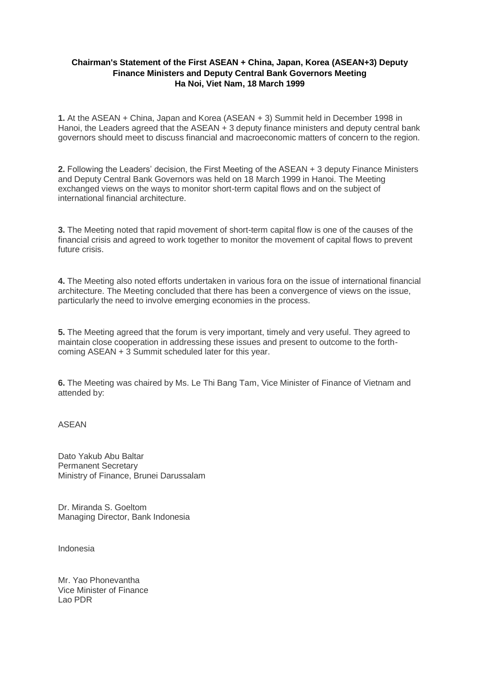## **Chairman's Statement of the First ASEAN + China, Japan, Korea (ASEAN+3) Deputy Finance Ministers and Deputy Central Bank Governors Meeting Ha Noi, Viet Nam, 18 March 1999**

**1.** At the ASEAN + China, Japan and Korea (ASEAN + 3) Summit held in December 1998 in Hanoi, the Leaders agreed that the ASEAN + 3 deputy finance ministers and deputy central bank governors should meet to discuss financial and macroeconomic matters of concern to the region.

**2.** Following the Leaders' decision, the First Meeting of the ASEAN + 3 deputy Finance Ministers and Deputy Central Bank Governors was held on 18 March 1999 in Hanoi. The Meeting exchanged views on the ways to monitor short-term capital flows and on the subject of international financial architecture.

**3.** The Meeting noted that rapid movement of short-term capital flow is one of the causes of the financial crisis and agreed to work together to monitor the movement of capital flows to prevent future crisis.

**4.** The Meeting also noted efforts undertaken in various fora on the issue of international financial architecture. The Meeting concluded that there has been a convergence of views on the issue, particularly the need to involve emerging economies in the process.

**5.** The Meeting agreed that the forum is very important, timely and very useful. They agreed to maintain close cooperation in addressing these issues and present to outcome to the forthcoming ASEAN + 3 Summit scheduled later for this year.

**6.** The Meeting was chaired by Ms. Le Thi Bang Tam, Vice Minister of Finance of Vietnam and attended by:

ASEAN

Dato Yakub Abu Baltar Permanent Secretary Ministry of Finance, Brunei Darussalam

Dr. Miranda S. Goeltom Managing Director, Bank Indonesia

Indonesia

Mr. Yao Phonevantha Vice Minister of Finance Lao PDR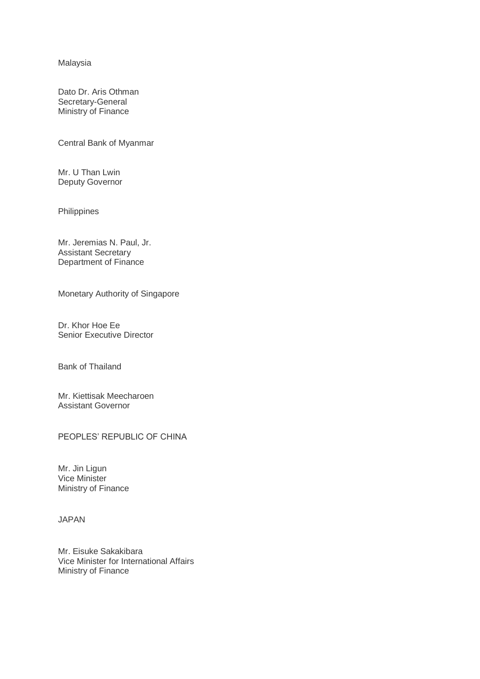Malaysia

Dato Dr. Aris Othman Secretary-General Ministry of Finance

Central Bank of Myanmar

Mr. U Than Lwin Deputy Governor

Philippines

Mr. Jeremias N. Paul, Jr. Assistant Secretary Department of Finance

Monetary Authority of Singapore

Dr. Khor Hoe Ee Senior Executive Director

Bank of Thailand

Mr. Kiettisak Meecharoen Assistant Governor

PEOPLES' REPUBLIC OF CHINA

Mr. Jin Ligun Vice Minister Ministry of Finance

JAPAN

Mr. Eisuke Sakakibara Vice Minister for International Affairs Ministry of Finance